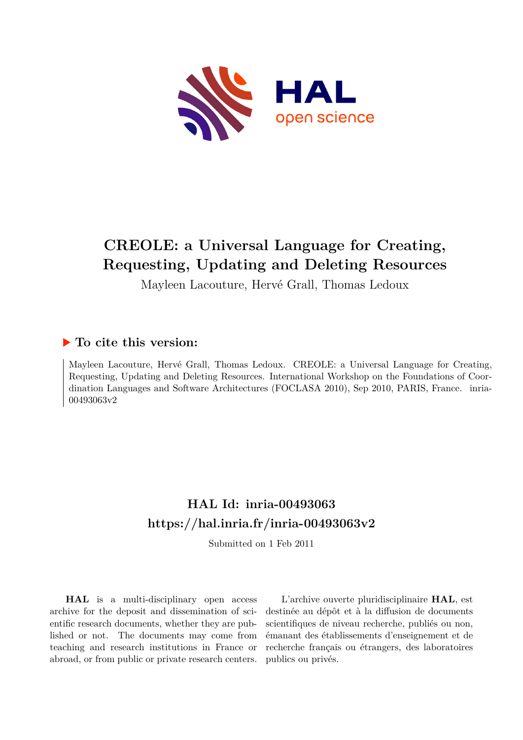

# **CREOLE: a Universal Language for Creating, Requesting, Updating and Deleting Resources**

Mayleen Lacouture, Hervé Grall, Thomas Ledoux

### **To cite this version:**

Mayleen Lacouture, Hervé Grall, Thomas Ledoux. CREOLE: a Universal Language for Creating, Requesting, Updating and Deleting Resources. International Workshop on the Foundations of Coordination Languages and Software Architectures (FOCLASA 2010), Sep 2010, PARIS, France. inria-00493063v2

## **HAL Id: inria-00493063 <https://hal.inria.fr/inria-00493063v2>**

Submitted on 1 Feb 2011

**HAL** is a multi-disciplinary open access archive for the deposit and dissemination of scientific research documents, whether they are published or not. The documents may come from teaching and research institutions in France or abroad, or from public or private research centers.

L'archive ouverte pluridisciplinaire **HAL**, est destinée au dépôt et à la diffusion de documents scientifiques de niveau recherche, publiés ou non, émanant des établissements d'enseignement et de recherche français ou étrangers, des laboratoires publics ou privés.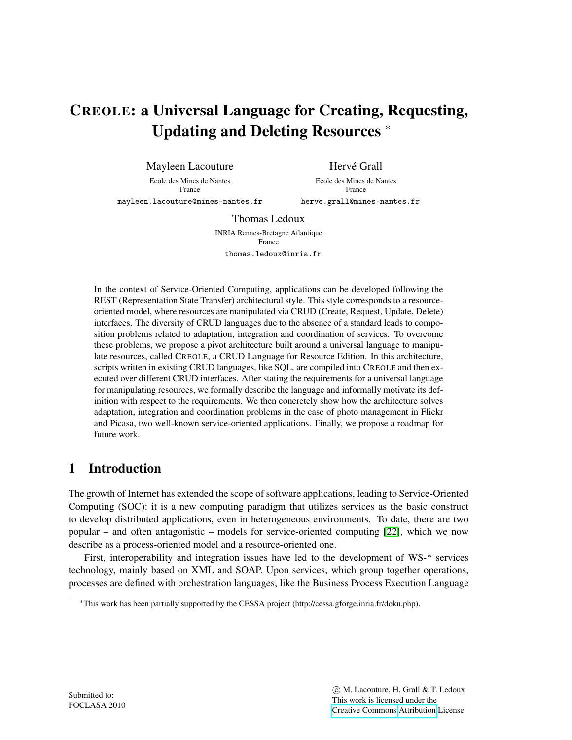# CREOLE: a Universal Language for Creating, Requesting, Updating and Deleting Resources <sup>∗</sup>

Mayleen Lacouture Ecole des Mines de Nantes

Hervé Grall

France

Ecole des Mines de Nantes France

mayleen.lacouture@mines-nantes.fr

herve.grall@mines-nantes.fr

Thomas Ledoux

INRIA Rennes-Bretagne Atlantique France thomas.ledoux@inria.fr

In the context of Service-Oriented Computing, applications can be developed following the REST (Representation State Transfer) architectural style. This style corresponds to a resourceoriented model, where resources are manipulated via CRUD (Create, Request, Update, Delete) interfaces. The diversity of CRUD languages due to the absence of a standard leads to composition problems related to adaptation, integration and coordination of services. To overcome these problems, we propose a pivot architecture built around a universal language to manipulate resources, called CREOLE, a CRUD Language for Resource Edition. In this architecture, scripts written in existing CRUD languages, like SQL, are compiled into CREOLE and then executed over different CRUD interfaces. After stating the requirements for a universal language for manipulating resources, we formally describe the language and informally motivate its definition with respect to the requirements. We then concretely show how the architecture solves adaptation, integration and coordination problems in the case of photo management in Flickr and Picasa, two well-known service-oriented applications. Finally, we propose a roadmap for future work.

## 1 Introduction

The growth of Internet has extended the scope of software applications, leading to Service-Oriented Computing (SOC): it is a new computing paradigm that utilizes services as the basic construct to develop distributed applications, even in heterogeneous environments. To date, there are two popular – and often antagonistic – models for service-oriented computing [22], which we now describe as a process-oriented model and a resource-oriented one.

First, interoperability and integration issues have led to the development of WS-\* services technology, mainly based on XML and SOAP. Upon services, which group together operations, processes are defined with orchestration languages, like the Business Process Execution Language

<sup>∗</sup>This work has been partially supported by the CESSA project (http://cessa.gforge.inria.fr/doku.php).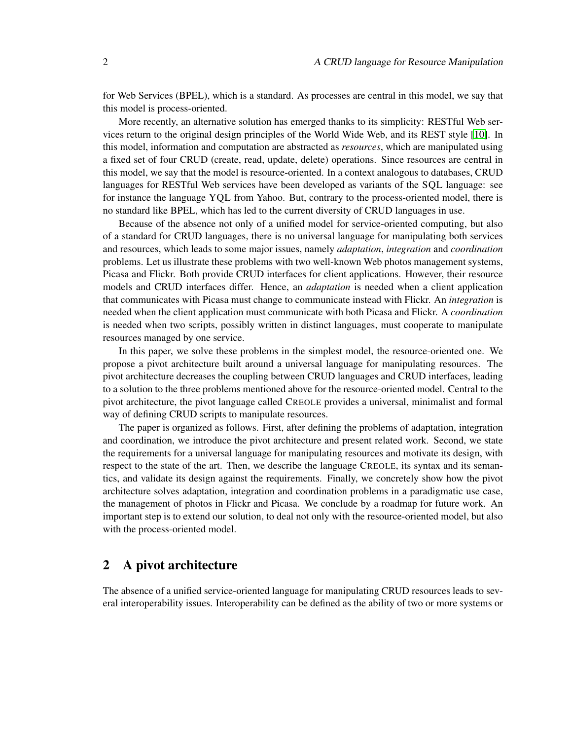for Web Services (BPEL), which is a standard. As processes are central in this model, we say that this model is process-oriented.

More recently, an alternative solution has emerged thanks to its simplicity: RESTful Web services return to the original design principles of the World Wide Web, and its REST style [10]. In this model, information and computation are abstracted as *resources*, which are manipulated using a fixed set of four CRUD (create, read, update, delete) operations. Since resources are central in this model, we say that the model is resource-oriented. In a context analogous to databases, CRUD languages for RESTful Web services have been developed as variants of the SQL language: see for instance the language YQL from Yahoo. But, contrary to the process-oriented model, there is no standard like BPEL, which has led to the current diversity of CRUD languages in use.

Because of the absence not only of a unified model for service-oriented computing, but also of a standard for CRUD languages, there is no universal language for manipulating both services and resources, which leads to some major issues, namely *adaptation*, *integration* and *coordination* problems. Let us illustrate these problems with two well-known Web photos management systems, Picasa and Flickr. Both provide CRUD interfaces for client applications. However, their resource models and CRUD interfaces differ. Hence, an *adaptation* is needed when a client application that communicates with Picasa must change to communicate instead with Flickr. An *integration* is needed when the client application must communicate with both Picasa and Flickr. A *coordination* is needed when two scripts, possibly written in distinct languages, must cooperate to manipulate resources managed by one service.

In this paper, we solve these problems in the simplest model, the resource-oriented one. We propose a pivot architecture built around a universal language for manipulating resources. The pivot architecture decreases the coupling between CRUD languages and CRUD interfaces, leading to a solution to the three problems mentioned above for the resource-oriented model. Central to the pivot architecture, the pivot language called CREOLE provides a universal, minimalist and formal way of defining CRUD scripts to manipulate resources.

The paper is organized as follows. First, after defining the problems of adaptation, integration and coordination, we introduce the pivot architecture and present related work. Second, we state the requirements for a universal language for manipulating resources and motivate its design, with respect to the state of the art. Then, we describe the language CREOLE, its syntax and its semantics, and validate its design against the requirements. Finally, we concretely show how the pivot architecture solves adaptation, integration and coordination problems in a paradigmatic use case, the management of photos in Flickr and Picasa. We conclude by a roadmap for future work. An important step is to extend our solution, to deal not only with the resource-oriented model, but also with the process-oriented model.

#### 2 A pivot architecture

The absence of a unified service-oriented language for manipulating CRUD resources leads to several interoperability issues. Interoperability can be defined as the ability of two or more systems or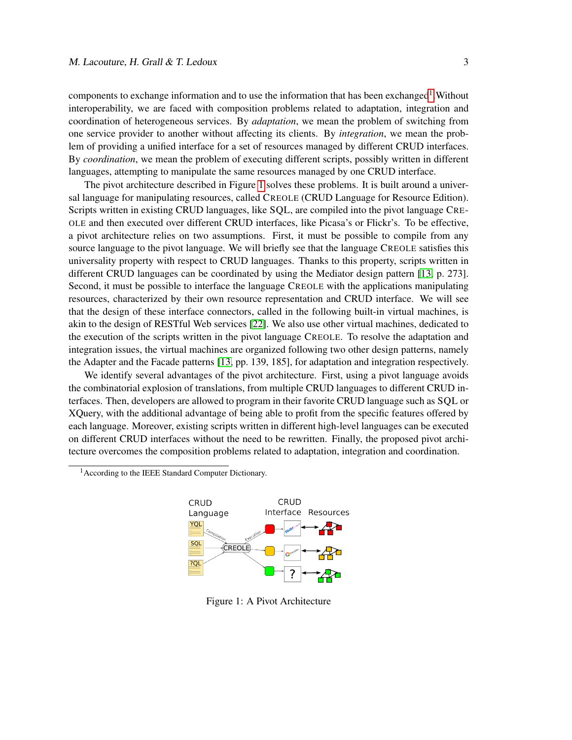components to exchange information and to use the information that has been exchanged<sup>1</sup>. Without interoperability, we are faced with composition problems related to adaptation, integration and coordination of heterogeneous services. By *adaptation*, we mean the problem of switching from one service provider to another without affecting its clients. By *integration*, we mean the problem of providing a unified interface for a set of resources managed by different CRUD interfaces. By *coordination*, we mean the problem of executing different scripts, possibly written in different languages, attempting to manipulate the same resources managed by one CRUD interface.

The pivot architecture described in Figure 1 solves these problems. It is built around a universal language for manipulating resources, called CREOLE (CRUD Language for Resource Edition). Scripts written in existing CRUD languages, like SQL, are compiled into the pivot language CRE-OLE and then executed over different CRUD interfaces, like Picasa's or Flickr's. To be effective, a pivot architecture relies on two assumptions. First, it must be possible to compile from any source language to the pivot language. We will briefly see that the language CREOLE satisfies this universality property with respect to CRUD languages. Thanks to this property, scripts written in different CRUD languages can be coordinated by using the Mediator design pattern [13, p. 273]. Second, it must be possible to interface the language CREOLE with the applications manipulating resources, characterized by their own resource representation and CRUD interface. We will see that the design of these interface connectors, called in the following built-in virtual machines, is akin to the design of RESTful Web services [22]. We also use other virtual machines, dedicated to the execution of the scripts written in the pivot language CREOLE. To resolve the adaptation and integration issues, the virtual machines are organized following two other design patterns, namely the Adapter and the Facade patterns [13, pp. 139, 185], for adaptation and integration respectively.

We identify several advantages of the pivot architecture. First, using a pivot language avoids the combinatorial explosion of translations, from multiple CRUD languages to different CRUD interfaces. Then, developers are allowed to program in their favorite CRUD language such as SQL or XQuery, with the additional advantage of being able to profit from the specific features offered by each language. Moreover, existing scripts written in different high-level languages can be executed on different CRUD interfaces without the need to be rewritten. Finally, the proposed pivot architecture overcomes the composition problems related to adaptation, integration and coordination.

<sup>1</sup> According to the IEEE Standard Computer Dictionary.



Figure 1: A Pivot Architecture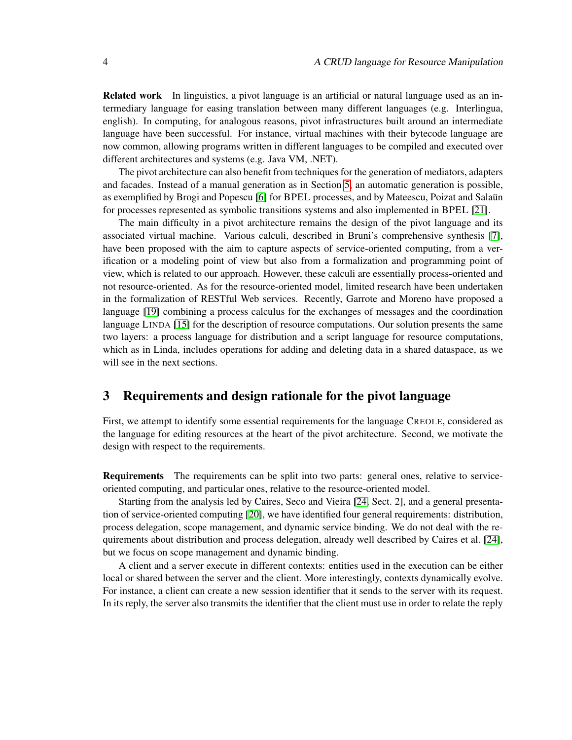Related work In linguistics, a pivot language is an artificial or natural language used as an intermediary language for easing translation between many different languages (e.g. Interlingua, english). In computing, for analogous reasons, pivot infrastructures built around an intermediate language have been successful. For instance, virtual machines with their bytecode language are now common, allowing programs written in different languages to be compiled and executed over different architectures and systems (e.g. Java VM, .NET).

The pivot architecture can also benefit from techniques for the generation of mediators, adapters and facades. Instead of a manual generation as in Section 5, an automatic generation is possible, as exemplified by Brogi and Popescu [6] for BPEL processes, and by Mateescu, Poizat and Salaün for processes represented as symbolic transitions systems and also implemented in BPEL [21].

The main difficulty in a pivot architecture remains the design of the pivot language and its associated virtual machine. Various calculi, described in Bruni's comprehensive synthesis [7], have been proposed with the aim to capture aspects of service-oriented computing, from a verification or a modeling point of view but also from a formalization and programming point of view, which is related to our approach. However, these calculi are essentially process-oriented and not resource-oriented. As for the resource-oriented model, limited research have been undertaken in the formalization of RESTful Web services. Recently, Garrote and Moreno have proposed a language [19] combining a process calculus for the exchanges of messages and the coordination language LINDA [15] for the description of resource computations. Our solution presents the same two layers: a process language for distribution and a script language for resource computations, which as in Linda, includes operations for adding and deleting data in a shared dataspace, as we will see in the next sections.

#### 3 Requirements and design rationale for the pivot language

First, we attempt to identify some essential requirements for the language CREOLE, considered as the language for editing resources at the heart of the pivot architecture. Second, we motivate the design with respect to the requirements.

Requirements The requirements can be split into two parts: general ones, relative to serviceoriented computing, and particular ones, relative to the resource-oriented model.

Starting from the analysis led by Caires, Seco and Vieira [24, Sect. 2], and a general presentation of service-oriented computing [20], we have identified four general requirements: distribution, process delegation, scope management, and dynamic service binding. We do not deal with the requirements about distribution and process delegation, already well described by Caires et al. [24], but we focus on scope management and dynamic binding.

A client and a server execute in different contexts: entities used in the execution can be either local or shared between the server and the client. More interestingly, contexts dynamically evolve. For instance, a client can create a new session identifier that it sends to the server with its request. In its reply, the server also transmits the identifier that the client must use in order to relate the reply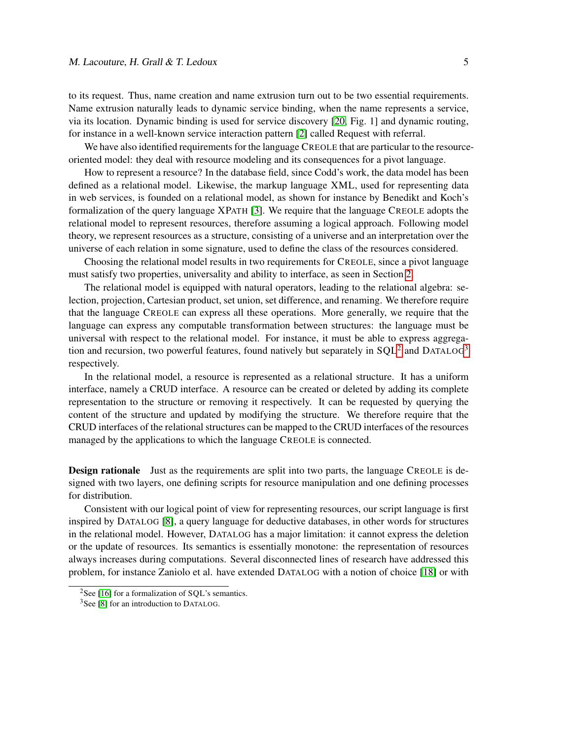to its request. Thus, name creation and name extrusion turn out to be two essential requirements. Name extrusion naturally leads to dynamic service binding, when the name represents a service, via its location. Dynamic binding is used for service discovery [20, Fig. 1] and dynamic routing, for instance in a well-known service interaction pattern [2] called Request with referral.

We have also identified requirements for the language CREOLE that are particular to the resourceoriented model: they deal with resource modeling and its consequences for a pivot language.

How to represent a resource? In the database field, since Codd's work, the data model has been defined as a relational model. Likewise, the markup language XML, used for representing data in web services, is founded on a relational model, as shown for instance by Benedikt and Koch's formalization of the query language XPATH [3]. We require that the language CREOLE adopts the relational model to represent resources, therefore assuming a logical approach. Following model theory, we represent resources as a structure, consisting of a universe and an interpretation over the universe of each relation in some signature, used to define the class of the resources considered.

Choosing the relational model results in two requirements for CREOLE, since a pivot language must satisfy two properties, universality and ability to interface, as seen in Section 2.

The relational model is equipped with natural operators, leading to the relational algebra: selection, projection, Cartesian product, set union, set difference, and renaming. We therefore require that the language CREOLE can express all these operations. More generally, we require that the language can express any computable transformation between structures: the language must be universal with respect to the relational model. For instance, it must be able to express aggregation and recursion, two powerful features, found natively but separately in  $SQL^2$  and  $DATALOG^3$ respectively.

In the relational model, a resource is represented as a relational structure. It has a uniform interface, namely a CRUD interface. A resource can be created or deleted by adding its complete representation to the structure or removing it respectively. It can be requested by querying the content of the structure and updated by modifying the structure. We therefore require that the CRUD interfaces of the relational structures can be mapped to the CRUD interfaces of the resources managed by the applications to which the language CREOLE is connected.

**Design rationale** Just as the requirements are split into two parts, the language CREOLE is designed with two layers, one defining scripts for resource manipulation and one defining processes for distribution.

Consistent with our logical point of view for representing resources, our script language is first inspired by DATALOG [8], a query language for deductive databases, in other words for structures in the relational model. However, DATALOG has a major limitation: it cannot express the deletion or the update of resources. Its semantics is essentially monotone: the representation of resources always increases during computations. Several disconnected lines of research have addressed this problem, for instance Zaniolo et al. have extended DATALOG with a notion of choice [18] or with

<sup>&</sup>lt;sup>2</sup>See [16] for a formalization of SQL's semantics.

<sup>&</sup>lt;sup>3</sup>See [8] for an introduction to DATALOG.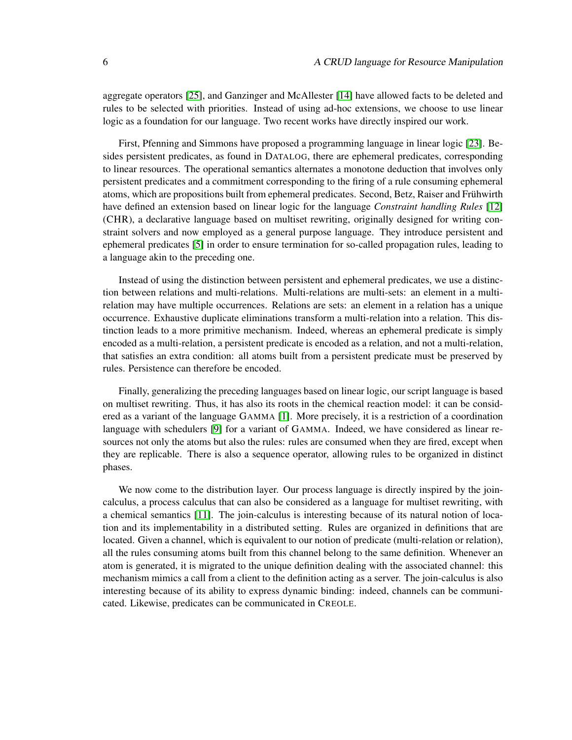aggregate operators [25], and Ganzinger and McAllester [14] have allowed facts to be deleted and rules to be selected with priorities. Instead of using ad-hoc extensions, we choose to use linear logic as a foundation for our language. Two recent works have directly inspired our work.

First, Pfenning and Simmons have proposed a programming language in linear logic [23]. Besides persistent predicates, as found in DATALOG, there are ephemeral predicates, corresponding to linear resources. The operational semantics alternates a monotone deduction that involves only persistent predicates and a commitment corresponding to the firing of a rule consuming ephemeral atoms, which are propositions built from ephemeral predicates. Second, Betz, Raiser and Frühwirth have defined an extension based on linear logic for the language *Constraint handling Rules* [12] (CHR), a declarative language based on multiset rewriting, originally designed for writing constraint solvers and now employed as a general purpose language. They introduce persistent and ephemeral predicates [5] in order to ensure termination for so-called propagation rules, leading to a language akin to the preceding one.

Instead of using the distinction between persistent and ephemeral predicates, we use a distinction between relations and multi-relations. Multi-relations are multi-sets: an element in a multirelation may have multiple occurrences. Relations are sets: an element in a relation has a unique occurrence. Exhaustive duplicate eliminations transform a multi-relation into a relation. This distinction leads to a more primitive mechanism. Indeed, whereas an ephemeral predicate is simply encoded as a multi-relation, a persistent predicate is encoded as a relation, and not a multi-relation, that satisfies an extra condition: all atoms built from a persistent predicate must be preserved by rules. Persistence can therefore be encoded.

Finally, generalizing the preceding languages based on linear logic, our script language is based on multiset rewriting. Thus, it has also its roots in the chemical reaction model: it can be considered as a variant of the language GAMMA [1]. More precisely, it is a restriction of a coordination language with schedulers [9] for a variant of GAMMA. Indeed, we have considered as linear resources not only the atoms but also the rules: rules are consumed when they are fired, except when they are replicable. There is also a sequence operator, allowing rules to be organized in distinct phases.

We now come to the distribution layer. Our process language is directly inspired by the joincalculus, a process calculus that can also be considered as a language for multiset rewriting, with a chemical semantics [11]. The join-calculus is interesting because of its natural notion of location and its implementability in a distributed setting. Rules are organized in definitions that are located. Given a channel, which is equivalent to our notion of predicate (multi-relation or relation), all the rules consuming atoms built from this channel belong to the same definition. Whenever an atom is generated, it is migrated to the unique definition dealing with the associated channel: this mechanism mimics a call from a client to the definition acting as a server. The join-calculus is also interesting because of its ability to express dynamic binding: indeed, channels can be communicated. Likewise, predicates can be communicated in CREOLE.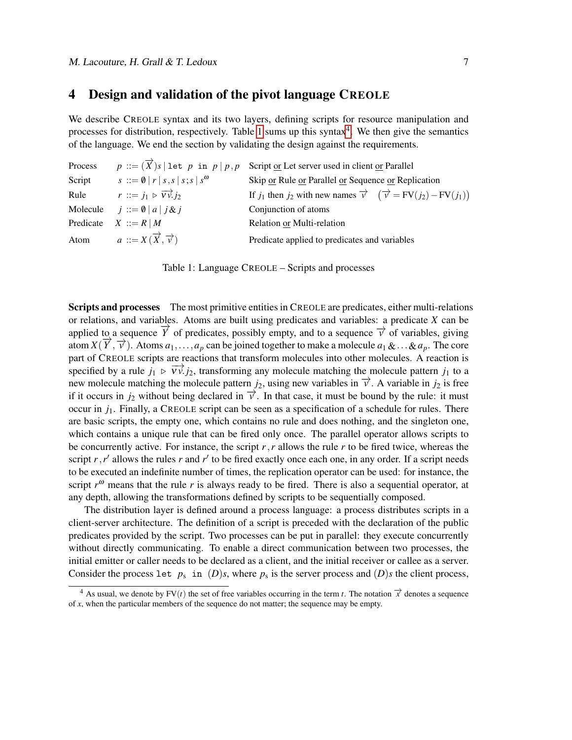#### 4 Design and validation of the pivot language CREOLE

We describe CREOLE syntax and its two layers, defining scripts for resource manipulation and processes for distribution, respectively. Table 1 sums up this syntax<sup>4</sup>. We then give the semantics of the language. We end the section by validating the design against the requirements.

| Process |                                                          | $p ::= (\overrightarrow{X})s \mid \text{let } p \text{ in } p \mid p, p \text{ Script } \underline{\text{or}}$ Let server used in client <u>or</u> Parallel |
|---------|----------------------------------------------------------|-------------------------------------------------------------------------------------------------------------------------------------------------------------|
| Script  | $s ::= \emptyset   r   s, s   s; s   s^{\omega}$         | Skip or Rule or Parallel or Sequence or Replication                                                                                                         |
| Rule    | $r ::= j_1 \triangleright \overrightarrow{Vv} \cdot j_2$ | If $j_1$ then $j_2$ with new names $\overrightarrow{v}$ $(\overrightarrow{v} = FV(j_2) - FV(j_1))$                                                          |
|         | Molecule $j ::= \emptyset   a   j \& j$                  | Conjunction of atoms                                                                                                                                        |
|         | Predicate $X ::= R   M$                                  | Relation or Multi-relation                                                                                                                                  |
|         | Atom $a ::= X(\overrightarrow{X}, \overrightarrow{v})$   | Predicate applied to predicates and variables                                                                                                               |

Table 1: Language CREOLE – Scripts and processes

Scripts and processes The most primitive entities in CREOLE are predicates, either multi-relations or relations, and variables. Atoms are built using predicates and variables: a predicate *X* can be applied to a sequence  $\overrightarrow{Y}$  of predicates, possibly empty, and to a sequence  $\overrightarrow{V}$  of variables, giving atom *X*( $\overrightarrow{Y}$ ,  $\overrightarrow{V}$ ). Atoms *a*<sub>1</sub>,...,*a*<sub>*p*</sub> can be joined together to make a molecule *a*<sub>1</sub> &...&*a*<sub>*p*</sub>. The core part of CREOLE scripts are reactions that transform molecules into other molecules. A reaction is specified by a rule  $j_1 \triangleright \overrightarrow{Vv}$ . *j<sub>2</sub>*, transforming any molecule matching the molecule pattern  $j_1$  to a new molecule matching the molecule pattern  $j_2$ , using new variables in  $\vec{v}$ . A variable in  $j_2$  is free if it occurs in  $j_2$  without being declared in  $\overrightarrow{v}$ . In that case, it must be bound by the rule: it must occur in *j*1. Finally, a CREOLE script can be seen as a specification of a schedule for rules. There are basic scripts, the empty one, which contains no rule and does nothing, and the singleton one, which contains a unique rule that can be fired only once. The parallel operator allows scripts to be concurrently active. For instance, the script  $r, r$  allows the rule  $r$  to be fired twice, whereas the script  $r, r'$  allows the rules  $r$  and  $r'$  to be fired exactly once each one, in any order. If a script needs to be executed an indefinite number of times, the replication operator can be used: for instance, the script  $r^{\omega}$  means that the rule  $r$  is always ready to be fired. There is also a sequential operator, at any depth, allowing the transformations defined by scripts to be sequentially composed.

The distribution layer is defined around a process language: a process distributes scripts in a client-server architecture. The definition of a script is preceded with the declaration of the public predicates provided by the script. Two processes can be put in parallel: they execute concurrently without directly communicating. To enable a direct communication between two processes, the initial emitter or caller needs to be declared as a client, and the initial receiver or callee as a server. Consider the process let  $p_s$  in  $(D)s$ , where  $p_s$  is the server process and  $(D)s$  the client process,

<sup>&</sup>lt;sup>4</sup> As usual, we denote by FV(*t*) the set of free variables occurring in the term *t*. The notation  $\vec{x}$  denotes a sequence of *x*, when the particular members of the sequence do not matter; the sequence may be empty.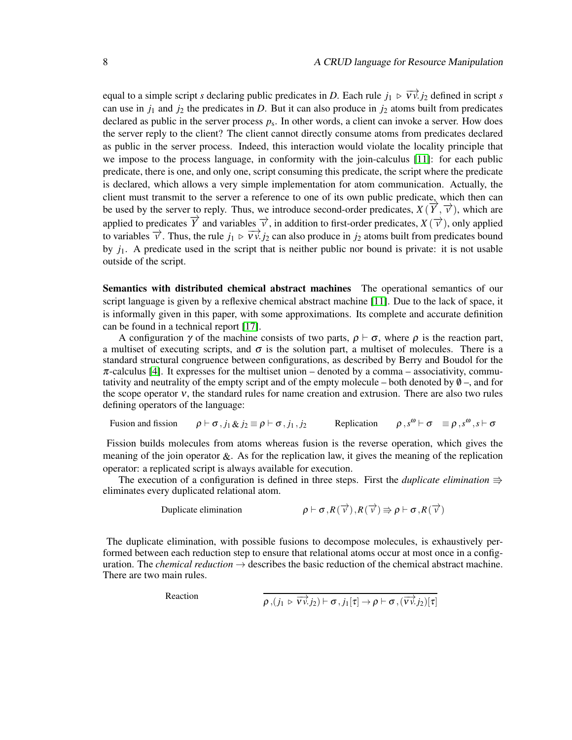equal to a simple script *s* declaring public predicates in *D*. Each rule  $j_1 \triangleright \overrightarrow{Vv}$ . *j*<sub>2</sub> defined in script *s* can use in  $j_1$  and  $j_2$  the predicates in *D*. But it can also produce in  $j_2$  atoms built from predicates declared as public in the server process *p*<sup>s</sup> . In other words, a client can invoke a server. How does the server reply to the client? The client cannot directly consume atoms from predicates declared as public in the server process. Indeed, this interaction would violate the locality principle that we impose to the process language, in conformity with the join-calculus [11]: for each public predicate, there is one, and only one, script consuming this predicate, the script where the predicate is declared, which allows a very simple implementation for atom communication. Actually, the client must transmit to the server a reference to one of its own public predicate, which then can be used by the server to reply. Thus, we introduce second-order predicates,  $X(\overrightarrow{Y}, \overrightarrow{V})$ , which are be used by the server to reply. Thus, we introduce second-order predicates,  $X(\overrightarrow{Y}, \overrightarrow{V})$ , which are applied to predicates  $\overrightarrow{Y}$  and variables  $\overrightarrow{v}$ , in addition to first-order predicates,  $X(\overrightarrow{v})$ , only applied to variables  $\vec{v}$ . Thus, the rule *j*<sub>1</sub>  $\triangleright \vec{v}$ ,  $\vec{v}$ , *j*<sub>2</sub> can also produce in *j*<sub>2</sub> atoms built from predicates bound by *j*1. A predicate used in the script that is neither public nor bound is private: it is not usable outside of the script.

Semantics with distributed chemical abstract machines The operational semantics of our script language is given by a reflexive chemical abstract machine [11]. Due to the lack of space, it is informally given in this paper, with some approximations. Its complete and accurate definition can be found in a technical report [17].

A configuration  $\gamma$  of the machine consists of two parts,  $\rho \vdash \sigma$ , where  $\rho$  is the reaction part, a multiset of executing scripts, and  $\sigma$  is the solution part, a multiset of molecules. There is a standard structural congruence between configurations, as described by Berry and Boudol for the  $\pi$ -calculus [4]. It expresses for the multiset union – denoted by a comma – associativity, commutativity and neutrality of the empty script and of the empty molecule – both denoted by  $\emptyset$  –, and for the scope operator ν, the standard rules for name creation and extrusion. There are also two rules defining operators of the language:

Fusion and fission  $\rho \vdash \sigma, j_1 \& j_2 \equiv \rho \vdash \sigma, j_1, j_2$  Replication  $\omega \vdash \sigma \equiv \rho \, , s^\omega \, , s \vdash \sigma$ 

Fission builds molecules from atoms whereas fusion is the reverse operation, which gives the meaning of the join operator  $\&\mathcal{A}$ . As for the replication law, it gives the meaning of the replication operator: a replicated script is always available for execution.

The execution of a configuration is defined in three steps. First the *duplicate elimination*  $\Rightarrow$ eliminates every duplicated relational atom.

$$
\text{Duplicate elimination} \qquad \rho \vdash \sigma, R(\overrightarrow{v}), R(\overrightarrow{v}) \Rrightarrow \rho \vdash \sigma, R(\overrightarrow{v})
$$

The duplicate elimination, with possible fusions to decompose molecules, is exhaustively performed between each reduction step to ensure that relational atoms occur at most once in a configuration. The *chemical reduction*  $\rightarrow$  describes the basic reduction of the chemical abstract machine. There are two main rules.

Reaction

$$
\rho\left,(j_{1}\,\triangleright\,\overrightarrow{vv}.j_{2})\vdash\sigma,j_{1}[\tau]\rightarrow\rho\vdash\sigma\,,(\overrightarrow{vv}.j_{2})[\tau]
$$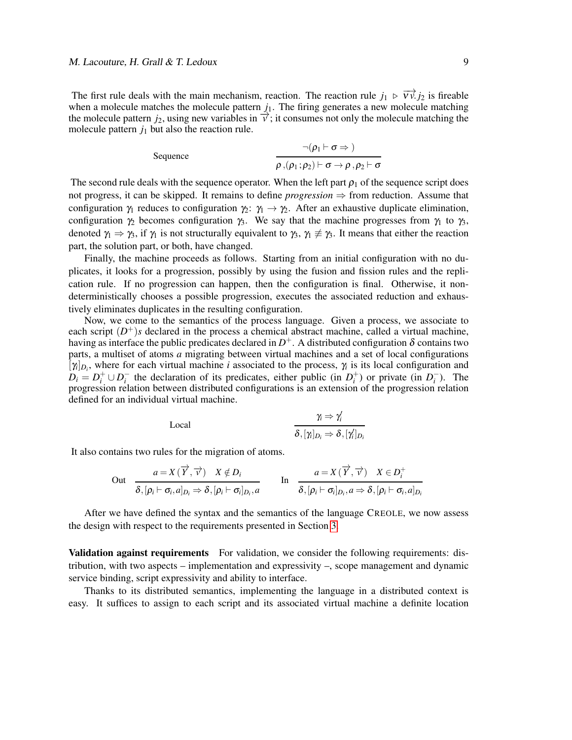The first rule deals with the main mechanism, reaction. The reaction rule  $j_1 \triangleright \overrightarrow{Vv}$ . *j*<sub>2</sub> is fireable when a molecule matches the molecule pattern  $j_1$ . The firing generates a new molecule matching the molecule pattern  $j_2$ , using new variables in  $\vec{v}$ ; it consumes not only the molecule matching the molecule pattern  $j_1$  but also the reaction rule.

Sequence  
\n
$$
\frac{\neg(\rho_1 \vdash \sigma \Rightarrow)}{\rho \Box(\rho_1; \rho_2) \vdash \sigma \rightarrow \rho \Box, \rho_2 \vdash \sigma}
$$

The second rule deals with the sequence operator. When the left part  $\rho_1$  of the sequence script does not progress, it can be skipped. It remains to define *progression*  $\Rightarrow$  from reduction. Assume that configuration  $\gamma_1$  reduces to configuration  $\gamma_2$ :  $\gamma_1 \rightarrow \gamma_2$ . After an exhaustive duplicate elimination, configuration  $\gamma_2$  becomes configuration  $\gamma_3$ . We say that the machine progresses from  $\gamma_1$  to  $\gamma_3$ , denoted  $\gamma_1 \Rightarrow \gamma_3$ , if  $\gamma_1$  is not structurally equivalent to  $\gamma_3$ ,  $\gamma_1 \not\equiv \gamma_3$ . It means that either the reaction part, the solution part, or both, have changed.

Finally, the machine proceeds as follows. Starting from an initial configuration with no duplicates, it looks for a progression, possibly by using the fusion and fission rules and the replication rule. If no progression can happen, then the configuration is final. Otherwise, it nondeterministically chooses a possible progression, executes the associated reduction and exhaustively eliminates duplicates in the resulting configuration.

Now, we come to the semantics of the process language. Given a process, we associate to each script  $(D^+)$ *s* declared in the process a chemical abstract machine, called a virtual machine, having as interface the public predicates declared in  $D^+$ . A distributed configuration  $\delta$  contains two parts, a multiset of atoms *a* migrating between virtual machines and a set of local configurations  $[\gamma_i]_{D_i}$ , where for each virtual machine *i* associated to the process,  $\gamma_i$  is its local configuration and  $D_i = D_i^+ \cup D_i^-$  the declaration of its predicates, either public (in  $D_i^+$ ) or private (in  $D_i^-$ ). The progression relation between distributed configurations is an extension of the progression relation defined for an individual virtual machine.

$$
\begin{aligned}\n\chi_i &\Rightarrow \gamma_i' \\
\hline\n\delta, [\gamma_i]_{D_i} &\Rightarrow \delta, [\gamma_i']_{D_i}\n\end{aligned}
$$

It also contains two rules for the migration of atoms.

$$
\text{Out} \quad \frac{a = X(\overrightarrow{Y}, \overrightarrow{v}) \quad X \notin D_i}{\delta, [\rho_i \vdash \sigma_i, a]_{D_i} \Rightarrow \delta, [\rho_i \vdash \sigma_i]_{D_i}, a} \qquad \text{In} \quad \frac{a = X(\overrightarrow{Y}, \overrightarrow{v}) \quad X \in D_i^+}{\delta, [\rho_i \vdash \sigma_i]_{D_i}, a \Rightarrow \delta, [\rho_i \vdash \sigma_i, a]_{D_i}}
$$

After we have defined the syntax and the semantics of the language CREOLE, we now assess the design with respect to the requirements presented in Section 3.

**Validation against requirements** For validation, we consider the following requirements: distribution, with two aspects – implementation and expressivity –, scope management and dynamic service binding, script expressivity and ability to interface.

Thanks to its distributed semantics, implementing the language in a distributed context is easy. It suffices to assign to each script and its associated virtual machine a definite location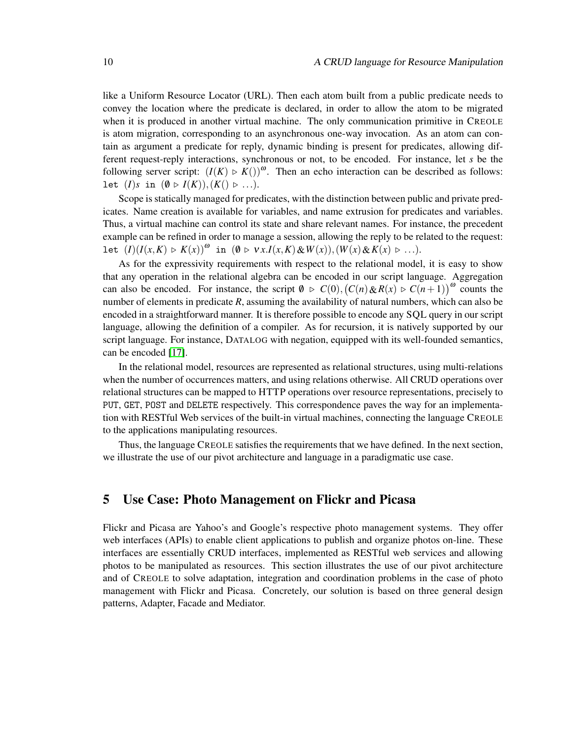like a Uniform Resource Locator (URL). Then each atom built from a public predicate needs to convey the location where the predicate is declared, in order to allow the atom to be migrated when it is produced in another virtual machine. The only communication primitive in CREOLE is atom migration, corresponding to an asynchronous one-way invocation. As an atom can contain as argument a predicate for reply, dynamic binding is present for predicates, allowing different request-reply interactions, synchronous or not, to be encoded. For instance, let *s* be the following server script:  $(I(K) \triangleright K())^{\omega}$ . Then an echo interaction can be described as follows: let  $(I)$ *s* in  $(\emptyset \triangleright I(K)), (K() \triangleright ...).$ 

Scope is statically managed for predicates, with the distinction between public and private predicates. Name creation is available for variables, and name extrusion for predicates and variables. Thus, a virtual machine can control its state and share relevant names. For instance, the precedent example can be refined in order to manage a session, allowing the reply to be related to the request: let  $(I)(I(x,K) \triangleright K(x))^{00}$  in  $(0 \triangleright \nu x. I(x,K) \& W(x)), (W(x) \& K(x) \triangleright \ldots).$ 

As for the expressivity requirements with respect to the relational model, it is easy to show that any operation in the relational algebra can be encoded in our script language. Aggregation can also be encoded. For instance, the script  $\emptyset \supset C(0)$ ,  $(C(n) \& R(x) \supset C(n+1))$ <sup>ω</sup> counts the number of elements in predicate *R*, assuming the availability of natural numbers, which can also be encoded in a straightforward manner. It is therefore possible to encode any SQL query in our script language, allowing the definition of a compiler. As for recursion, it is natively supported by our script language. For instance, DATALOG with negation, equipped with its well-founded semantics, can be encoded [17].

In the relational model, resources are represented as relational structures, using multi-relations when the number of occurrences matters, and using relations otherwise. All CRUD operations over relational structures can be mapped to HTTP operations over resource representations, precisely to PUT, GET, POST and DELETE respectively. This correspondence paves the way for an implementation with RESTful Web services of the built-in virtual machines, connecting the language CREOLE to the applications manipulating resources.

Thus, the language CREOLE satisfies the requirements that we have defined. In the next section, we illustrate the use of our pivot architecture and language in a paradigmatic use case.

#### 5 Use Case: Photo Management on Flickr and Picasa

Flickr and Picasa are Yahoo's and Google's respective photo management systems. They offer web interfaces (APIs) to enable client applications to publish and organize photos on-line. These interfaces are essentially CRUD interfaces, implemented as RESTful web services and allowing photos to be manipulated as resources. This section illustrates the use of our pivot architecture and of CREOLE to solve adaptation, integration and coordination problems in the case of photo management with Flickr and Picasa. Concretely, our solution is based on three general design patterns, Adapter, Facade and Mediator.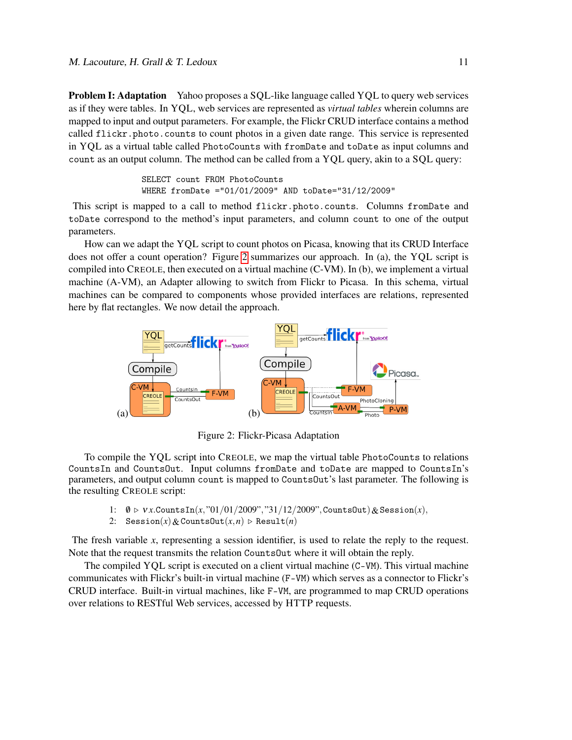Problem I: Adaptation Yahoo proposes a SQL-like language called YQL to query web services as if they were tables. In YQL, web services are represented as *virtual tables* wherein columns are mapped to input and output parameters. For example, the Flickr CRUD interface contains a method called flickr.photo.counts to count photos in a given date range. This service is represented in YQL as a virtual table called PhotoCounts with fromDate and toDate as input columns and count as an output column. The method can be called from a YQL query, akin to a SQL query:

> SELECT count FROM PhotoCounts WHERE fromDate ="01/01/2009" AND toDate="31/12/2009"

This script is mapped to a call to method flickr.photo.counts. Columns fromDate and toDate correspond to the method's input parameters, and column count to one of the output parameters.

How can we adapt the YQL script to count photos on Picasa, knowing that its CRUD Interface does not offer a count operation? Figure 2 summarizes our approach. In (a), the YQL script is compiled into CREOLE, then executed on a virtual machine (C-VM). In (b), we implement a virtual machine (A-VM), an Adapter allowing to switch from Flickr to Picasa. In this schema, virtual machines can be compared to components whose provided interfaces are relations, represented here by flat rectangles. We now detail the approach.



Figure 2: Flickr-Picasa Adaptation

To compile the YQL script into CREOLE, we map the virtual table PhotoCounts to relations CountsIn and CountsOut. Input columns fromDate and toDate are mapped to CountsIn's parameters, and output column count is mapped to CountsOut's last parameter. The following is the resulting CREOLE script:

- 1:  $\emptyset \triangleright \forall x$ .CountsIn(*x*, "01/01/2009", "31/12/2009", CountsOut) & Session(*x*),
- 2: Session(*x*) & CountsOut(*x*,*n*)  $\triangleright$  Result(*n*)

The fresh variable *x*, representing a session identifier, is used to relate the reply to the request. Note that the request transmits the relation CountsOut where it will obtain the reply.

The compiled YQL script is executed on a client virtual machine (C-VM). This virtual machine communicates with Flickr's built-in virtual machine (F-VM) which serves as a connector to Flickr's CRUD interface. Built-in virtual machines, like F-VM, are programmed to map CRUD operations over relations to RESTful Web services, accessed by HTTP requests.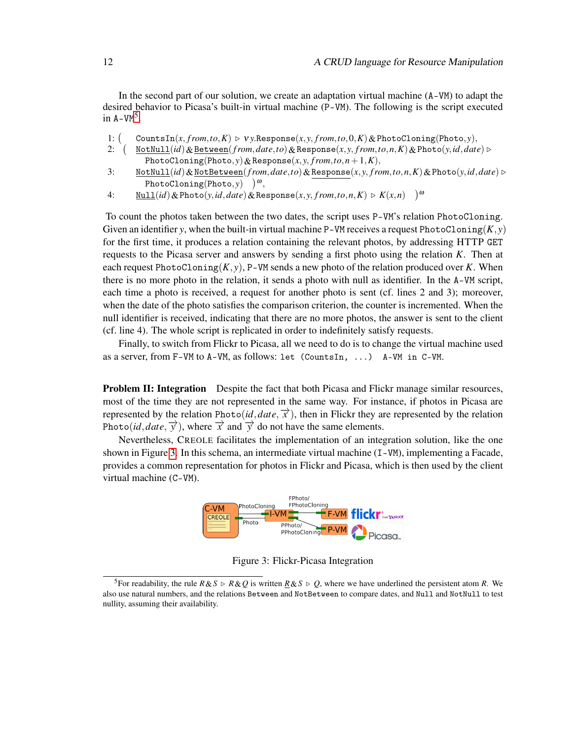In the second part of our solution, we create an adaptation virtual machine (A-VM) to adapt the desired behavior to Picasa's built-in virtual machine (P-VM). The following is the script executed in  $A-VM^5$ .

- 1:  $($  $CountsIn(x, from, to, K) \geq Vy.$ Response $(x, y, from, to, 0, K) \&$ PhotoCloning(Photo, *y*),
- 2: NotNull(*id*)&Between(*f rom*,*date*,*to*)&Response(*x*, *y*, *f rom*,*to*,*n*,*K*)&Photo(*y*,*id*,*date*) . PhotoCloning(Photo, *y*) & Response(*x*, *y*,  $from, to, n+1, K$ ),
- 3: NotNull(*id*)&NotBetween(*f rom*,*date*,*to*)&Response(*x*, *y*, *f rom*,*to*,*n*,*K*)&Photo(*y*,*id*,*date*) .  $\text{PhotoCloning}(\text{Photo}, y) \quad )^{\omega},$
- 4:  $\underline{\text{Null}}(id) \& \text{Photo}(y, id, date) \& \text{Response}(x, y, from, to, n, K) \triangleright K(x, n) \big)^\omega$

To count the photos taken between the two dates, the script uses P-VM's relation PhotoCloning. Given an identifier *y*, when the built-in virtual machine P-VM receives a request PhotoCloning $(K, y)$ for the first time, it produces a relation containing the relevant photos, by addressing HTTP GET requests to the Picasa server and answers by sending a first photo using the relation *K*. Then at each request PhotoCloning $(K, y)$ , P-VM sends a new photo of the relation produced over *K*. When there is no more photo in the relation, it sends a photo with null as identifier. In the A-VM script, each time a photo is received, a request for another photo is sent (cf. lines 2 and 3); moreover, when the date of the photo satisfies the comparison criterion, the counter is incremented. When the null identifier is received, indicating that there are no more photos, the answer is sent to the client (cf. line 4). The whole script is replicated in order to indefinitely satisfy requests.

Finally, to switch from Flickr to Picasa, all we need to do is to change the virtual machine used as a server, from F-VM to A-VM, as follows: let (CountsIn, ...) A-VM in C-VM.

**Problem II: Integration** Despite the fact that both Picasa and Flickr manage similar resources, most of the time they are not represented in the same way. For instance, if photos in Picasa are represented by the relation Photo(*id*, *date*,  $\vec{x}$ ), then in Flickr they are represented by the relation Photo(*id*,*date*,  $\overrightarrow{y}$ ), where  $\overrightarrow{x}$  and  $\overrightarrow{y}$  do not have the same elements.

Nevertheless, CREOLE facilitates the implementation of an integration solution, like the one shown in Figure 3. In this schema, an intermediate virtual machine (I-VM), implementing a Facade, provides a common representation for photos in Flickr and Picasa, which is then used by the client virtual machine (C-VM).



Figure 3: Flickr-Picasa Integration

<sup>&</sup>lt;sup>5</sup>For readability, the rule  $R \& S \supset R \& Q$  is written  $R \& S \supset Q$ , where we have underlined the persistent atom *R*. We also use natural numbers, and the relations Between and NotBetween to compare dates, and Null and NotNull to test nullity, assuming their availability.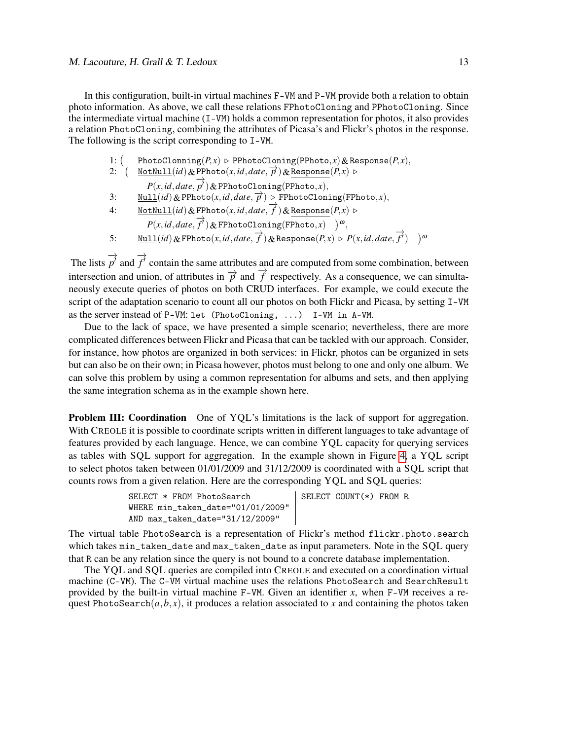In this configuration, built-in virtual machines F-VM and P-VM provide both a relation to obtain photo information. As above, we call these relations FPhotoCloning and PPhotoCloning. Since the intermediate virtual machine (I-VM) holds a common representation for photos, it also provides a relation PhotoCloning, combining the attributes of Picasa's and Flickr's photos in the response. The following is the script corresponding to I-VM.

- 1:  $($ PhotoClonning( $P, x$ )  $\triangleright$  PPhotoCloning(PPhoto, *x*) & Response( $P, x$ ),
- 2:  $\left( \frac{\text{NotNull}(id) \& \text{PPhoto}(x, id, date, \overrightarrow{p}) \& \text{Response}(P, x) \right)$  $P(x, id, date, p')$ &PPhotoCloning(PPhoto, *x*),
- 3:  $\underline{\text{Null}}(id) \& \text{PPhoto}(x, id, date, \overrightarrow{p}) \triangleright \text{FPhotoCloning}(\text{FPhoto}, x),$
- 4:  $\underline{\text{NotNull}}(id)$ &FPhoto(*x*, *id*, *date*,  $\overrightarrow{f}$ )&Response(*P*, *x*)  $\triangleright$ 
	- $P(x, id, date, \overrightarrow{f'})$ &FPhotoCloning(FPhoto,*x*)  $)^{\omega}$ ,
- 5:  $\underline{\text{Null}}(id) \& \text{FPhoto}(x, id, date, \overrightarrow{f}) \& \text{Response}(P, x) \triangleright P(x, id, date, \overrightarrow{f}) \quad )^{\omega}$

The lists −→  $p^{\prime}$  and −→  $f^{\prime}$  contain the same attributes and are computed from some combination, between intersection and union, of attributes in  $\overrightarrow{p}$  and  $\overrightarrow{f}$  respectively. As a consequence, we can simultaneously execute queries of photos on both CRUD interfaces. For example, we could execute the script of the adaptation scenario to count all our photos on both Flickr and Picasa, by setting I-VM as the server instead of P-VM: let (PhotoCloning, ...) I-VM in A-VM.

Due to the lack of space, we have presented a simple scenario; nevertheless, there are more complicated differences between Flickr and Picasa that can be tackled with our approach. Consider, for instance, how photos are organized in both services: in Flickr, photos can be organized in sets but can also be on their own; in Picasa however, photos must belong to one and only one album. We can solve this problem by using a common representation for albums and sets, and then applying the same integration schema as in the example shown here.

**Problem III: Coordination** One of YQL's limitations is the lack of support for aggregation. With CREOLE it is possible to coordinate scripts written in different languages to take advantage of features provided by each language. Hence, we can combine YQL capacity for querying services as tables with SQL support for aggregation. In the example shown in Figure 4, a YQL script to select photos taken between 01/01/2009 and 31/12/2009 is coordinated with a SQL script that counts rows from a given relation. Here are the corresponding YQL and SQL queries:

| SELECT * FROM PhotoSearch         | SELECT COUNT $(*)$ FROM R |
|-----------------------------------|---------------------------|
| WHERE min taken date="01/01/2009" |                           |
| AND max_taken_date="31/12/2009"   |                           |

The virtual table PhotoSearch is a representation of Flickr's method flickr.photo.search which takes min\_taken\_date and max\_taken\_date as input parameters. Note in the SQL query that R can be any relation since the query is not bound to a concrete database implementation.

The YQL and SQL queries are compiled into CREOLE and executed on a coordination virtual machine (C-VM). The C-VM virtual machine uses the relations PhotoSearch and SearchResult provided by the built-in virtual machine F-VM. Given an identifier *x*, when F-VM receives a request PhotoSearch $(a, b, x)$ , it produces a relation associated to x and containing the photos taken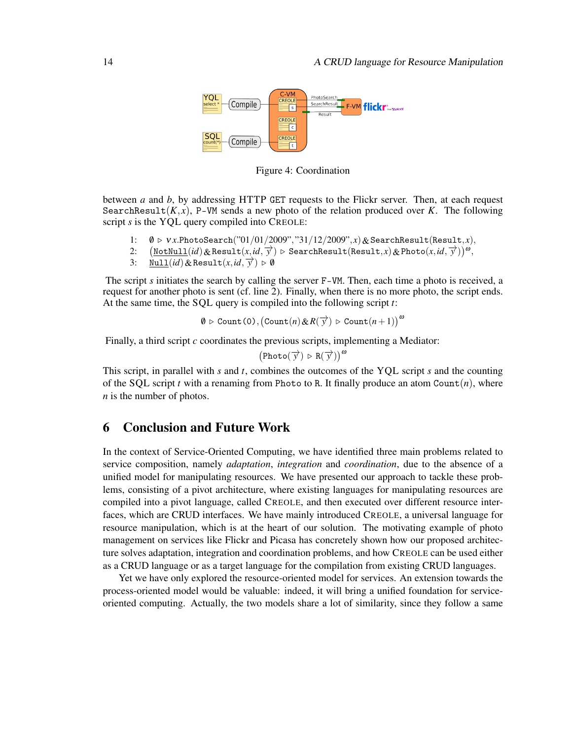

Figure 4: Coordination

between *a* and *b*, by addressing HTTP GET requests to the Flickr server. Then, at each request SearchResult( $K, x$ ), P-VM sends a new photo of the relation produced over K. The following script *s* is the YQL query compiled into CREOLE:

- 1:  $\emptyset \triangleright \forall x.$ PhotoSearch("01/01/2009","31/12/2009", *x*) & SearchResult(Result, *x*),
- 2:  $\frac{N \times N \times N}{N \times N}$  . Search Result(*x*,*id*,  $\overrightarrow{y}$ ) . Search Result(Result, *x*)& Photo(*x*,*id*,  $\overrightarrow{y}$ ))<sup>ω</sup>,
- 3:  $\frac{\text{Null}(id) \& \text{Result}(x, id, \overline{y}) \ge 0}{2}$

The script *s* initiates the search by calling the server F-VM. Then, each time a photo is received, a request for another photo is sent (cf. line 2). Finally, when there is no more photo, the script ends. At the same time, the SQL query is compiled into the following script *t*:

$$
\emptyset \triangleright \texttt{Count}(0), \big(\texttt{Count}(n) \& R(\overrightarrow{y}) \triangleright \texttt{Count}(n+1)\big)^\omega
$$

Finally, a third script *c* coordinates the previous scripts, implementing a Mediator:

$$
(\text{Photo}(\overrightarrow{y}) \triangleright R(\overrightarrow{y}))^{\omega}
$$

This script, in parallel with *s* and *t*, combines the outcomes of the YQL script *s* and the counting of the SQL script *t* with a renaming from Photo to R. It finally produce an atom Count(*n*), where *n* is the number of photos.

#### 6 Conclusion and Future Work

In the context of Service-Oriented Computing, we have identified three main problems related to service composition, namely *adaptation*, *integration* and *coordination*, due to the absence of a unified model for manipulating resources. We have presented our approach to tackle these problems, consisting of a pivot architecture, where existing languages for manipulating resources are compiled into a pivot language, called CREOLE, and then executed over different resource interfaces, which are CRUD interfaces. We have mainly introduced CREOLE, a universal language for resource manipulation, which is at the heart of our solution. The motivating example of photo management on services like Flickr and Picasa has concretely shown how our proposed architecture solves adaptation, integration and coordination problems, and how CREOLE can be used either as a CRUD language or as a target language for the compilation from existing CRUD languages.

Yet we have only explored the resource-oriented model for services. An extension towards the process-oriented model would be valuable: indeed, it will bring a unified foundation for serviceoriented computing. Actually, the two models share a lot of similarity, since they follow a same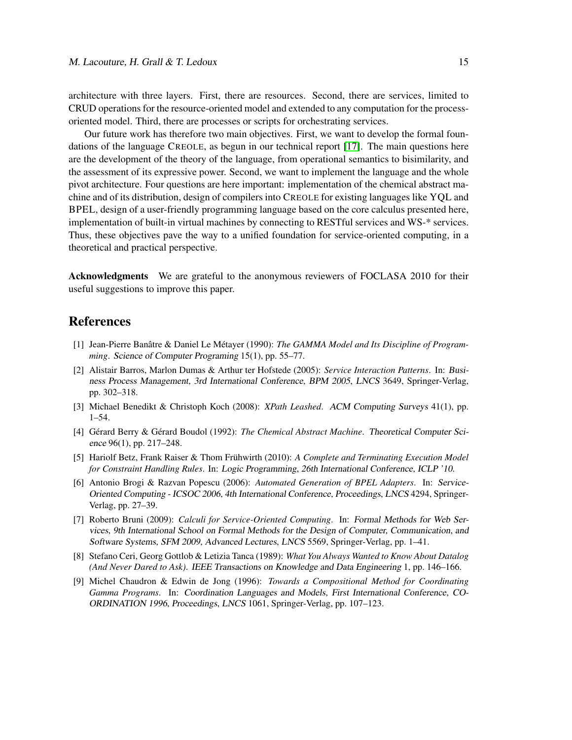architecture with three layers. First, there are resources. Second, there are services, limited to CRUD operations for the resource-oriented model and extended to any computation for the processoriented model. Third, there are processes or scripts for orchestrating services.

Our future work has therefore two main objectives. First, we want to develop the formal foundations of the language CREOLE, as begun in our technical report [17]. The main questions here are the development of the theory of the language, from operational semantics to bisimilarity, and the assessment of its expressive power. Second, we want to implement the language and the whole pivot architecture. Four questions are here important: implementation of the chemical abstract machine and of its distribution, design of compilers into CREOLE for existing languages like YQL and BPEL, design of a user-friendly programming language based on the core calculus presented here, implementation of built-in virtual machines by connecting to RESTful services and WS-\* services. Thus, these objectives pave the way to a unified foundation for service-oriented computing, in a theoretical and practical perspective.

Acknowledgments We are grateful to the anonymous reviewers of FOCLASA 2010 for their useful suggestions to improve this paper.

#### References

- [1] Jean-Pierre Banâtre & Daniel Le Métayer (1990): *The GAMMA Model and Its Discipline of Programming*. Science of Computer Programing 15(1), pp. 55–77.
- [2] Alistair Barros, Marlon Dumas & Arthur ter Hofstede (2005): *Service Interaction Patterns*. In: Business Process Management, 3rd International Conference, BPM 2005, LNCS 3649, Springer-Verlag, pp. 302–318.
- [3] Michael Benedikt & Christoph Koch (2008): *XPath Leashed*. ACM Computing Surveys 41(1), pp. 1–54.
- [4] Gérard Berry & Gérard Boudol (1992): *The Chemical Abstract Machine*. Theoretical Computer Science 96(1), pp. 217–248.
- [5] Hariolf Betz, Frank Raiser & Thom Frühwirth (2010): *A Complete and Terminating Execution Model for Constraint Handling Rules*. In: Logic Programming, 26th International Conference, ICLP '10.
- [6] Antonio Brogi & Razvan Popescu (2006): *Automated Generation of BPEL Adapters*. In: Service-Oriented Computing - ICSOC 2006, 4th International Conference, Proceedings, LNCS 4294, Springer-Verlag, pp. 27–39.
- [7] Roberto Bruni (2009): *Calculi for Service-Oriented Computing*. In: Formal Methods for Web Services, 9th International School on Formal Methods for the Design of Computer, Communication, and Software Systems, SFM 2009, Advanced Lectures, LNCS 5569, Springer-Verlag, pp. 1–41.
- [8] Stefano Ceri, Georg Gottlob & Letizia Tanca (1989): *What You Always Wanted to Know About Datalog (And Never Dared to Ask)*. IEEE Transactions on Knowledge and Data Engineering 1, pp. 146–166.
- [9] Michel Chaudron & Edwin de Jong (1996): *Towards a Compositional Method for Coordinating Gamma Programs*. In: Coordination Languages and Models, First International Conference, CO-ORDINATION 1996, Proceedings, LNCS 1061, Springer-Verlag, pp. 107–123.